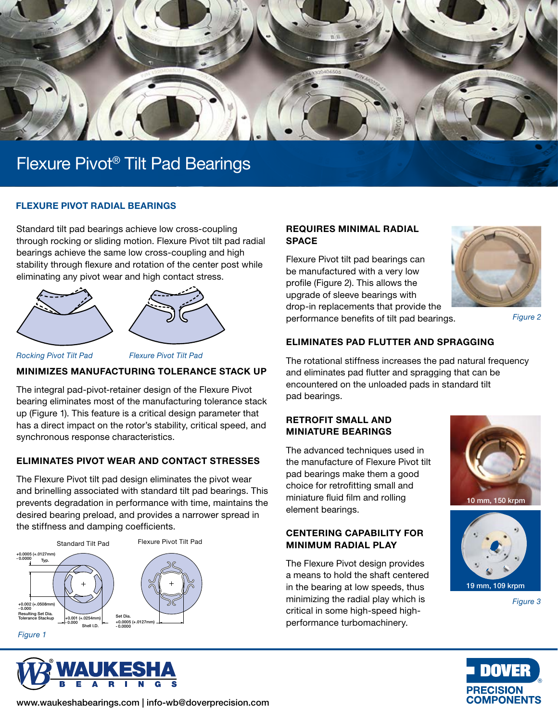

### FLEXURE PIVOT RADIAL BEARINGS

Standard tilt pad bearings achieve low cross-coupling through rocking or sliding motion. Flexure Pivot tilt pad radial bearings achieve the same low cross-coupling and high stability through flexure and rotation of the center post while eliminating any pivot wear and high contact stress.



*Rocking Pivot Tilt Pad Flexure Pivot Tilt Pad*

#### MINIMIZES MANUFACTURING TOLERANCE STACK UP

The integral pad-pivot-retainer design of the Flexure Pivot bearing eliminates most of the manufacturing tolerance stack up (Figure 1). This feature is a critical design parameter that has a direct impact on the rotor's stability, critical speed, and synchronous response characteristics.

# ELIMINATES PIVOT WEAR AND CONTACT STRESSES

The Flexure Pivot tilt pad design eliminates the pivot wear and brinelling associated with standard tilt pad bearings. This prevents degradation in performance with time, maintains the desired bearing preload, and provides a narrower spread in the stiffness and damping coefficients.





### REQUIRES MINIMAL RADIAL **SPACE**

Flexure Pivot tilt pad bearings can be manufactured with a very low profile (Figure 2). This allows the upgrade of sleeve bearings with drop-in replacements that provide the performance benefits of tilt pad bearings.



*Figure 2*

#### ELIMINATES PAD FLUTTER AND SPRAGGING

The rotational stiffness increases the pad natural frequency and eliminates pad flutter and spragging that can be encountered on the unloaded pads in standard tilt pad bearings.

#### RETROFIT SMALL AND MINIATURE BEARINGS

The advanced techniques used in the manufacture of Flexure Pivot tilt pad bearings make them a good choice for retrofitting small and miniature fluid film and rolling element bearings.

# CENTERING CAPABILITY FOR MINIMUM RADIAL PLAY

The Flexure Pivot design provides a means to hold the shaft centered in the bearing at low speeds, thus minimizing the radial play which is critical in some high-speed highperformance turbomachinery.





*Figure 3*



www.waukeshabearings.com | info-wb@doverprecision.com